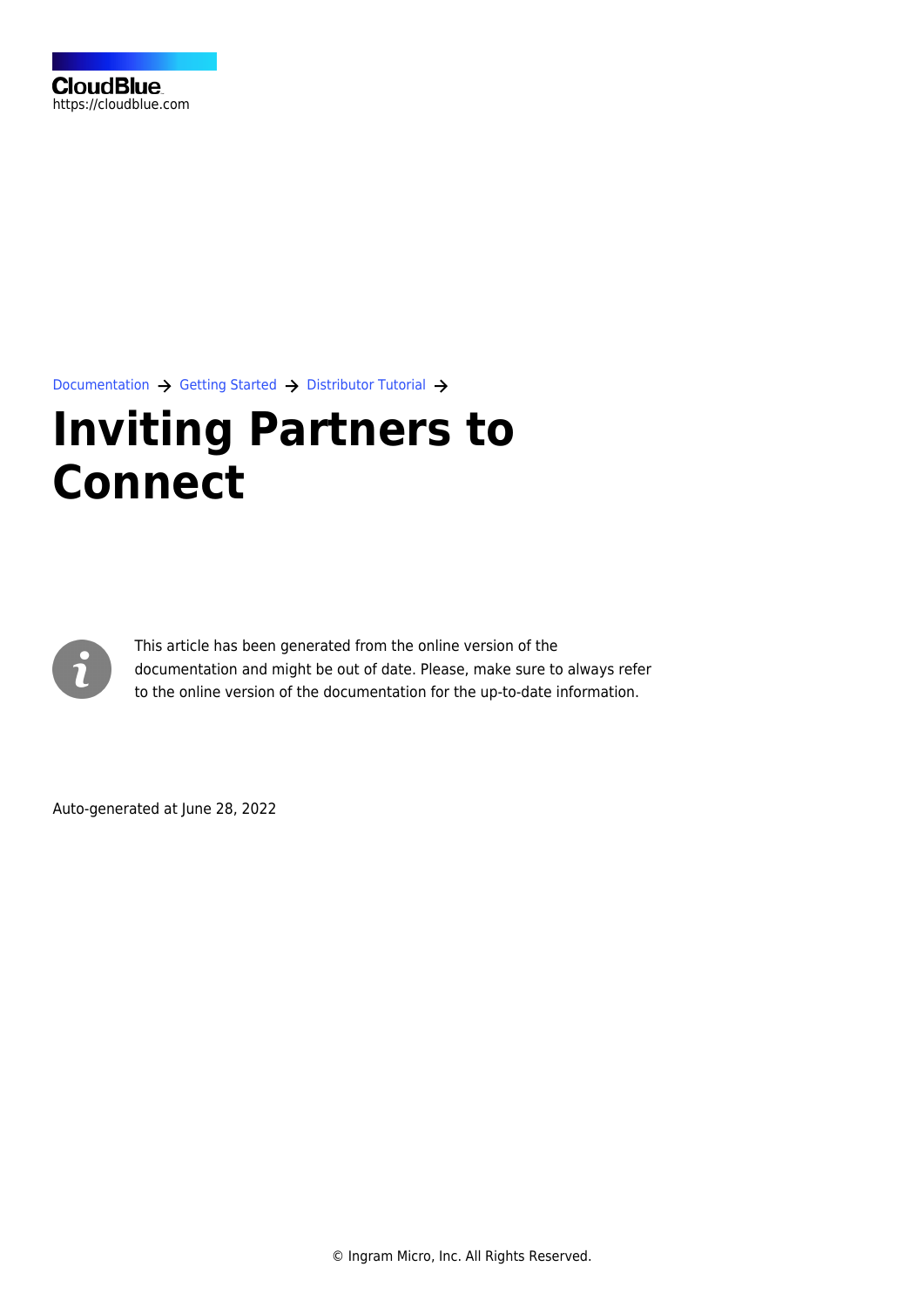

[Documentation](https://connect.cloudblue.com/documentation)  $\rightarrow$  [Getting Started](https://connect.cloudblue.com/community/getting-started/)  $\rightarrow$  [Distributor Tutorial](https://connect.cloudblue.com/community/getting-started/distributor/)  $\rightarrow$ 

# **[Inviting Partners to](https://connect.cloudblue.com/community/getting-started/distributor/partners/) [Connect](https://connect.cloudblue.com/community/getting-started/distributor/partners/)**



This article has been generated from the online version of the documentation and might be out of date. Please, make sure to always refer to the online version of the documentation for the up-to-date information.

Auto-generated at June 28, 2022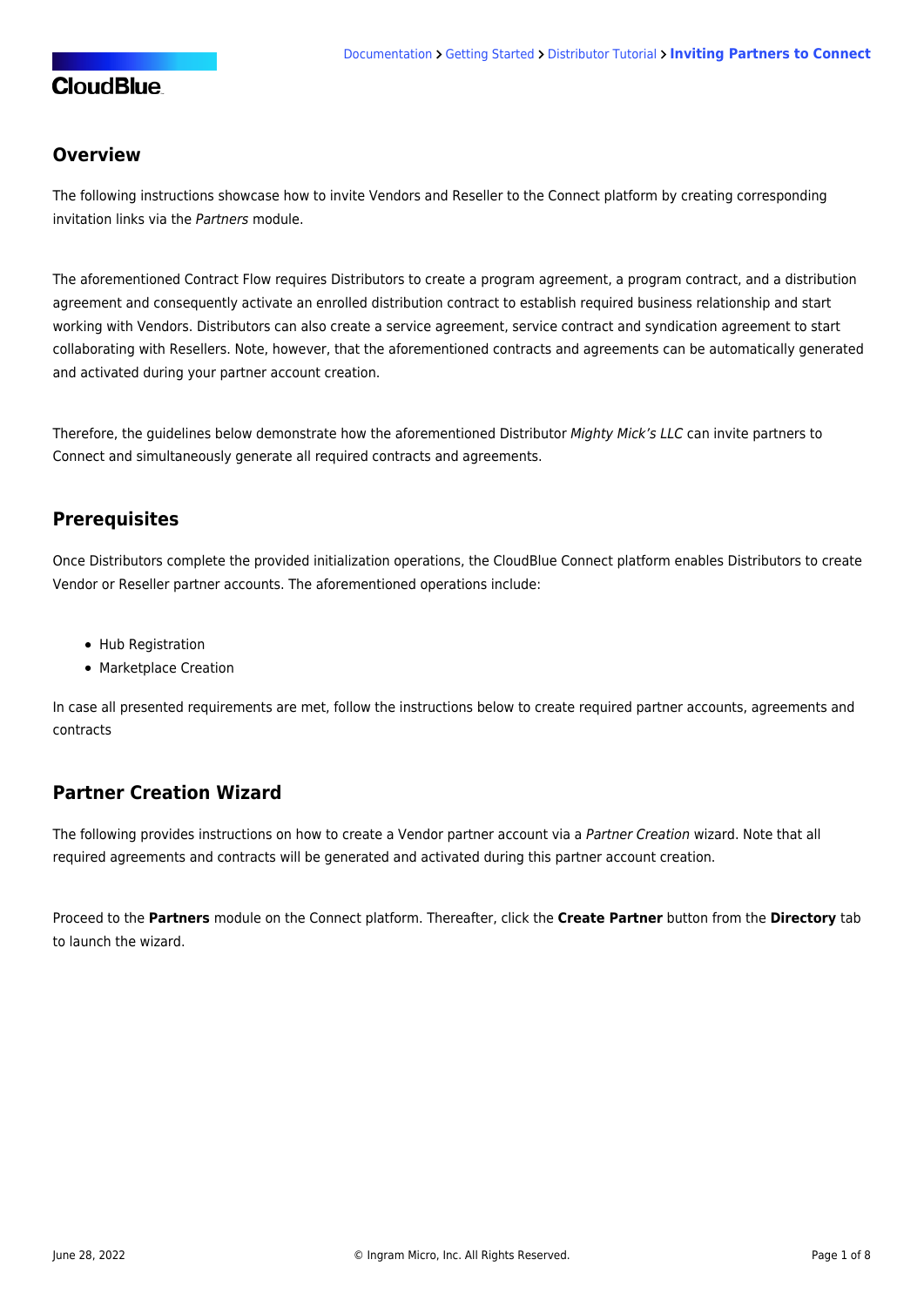### **Overview**

The following instructions showcase how to invite Vendors and Reseller to the Connect platform by creating corresponding invitation links via the Partners module.

The aforementioned [Contract Flow](https://connect.cloudblue.com/community/getting-started/#Business_Flows) requires Distributors to create a program agreement, a program contract, and a distribution agreement and consequently activate an enrolled distribution contract to establish required business relationship and start working with Vendors. Distributors can also create a service agreement, service contract and syndication agreement to start collaborating with Resellers. Note, however, that the aforementioned contracts and agreements can be automatically generated and activated during your partner account creation.

Therefore, the guidelines below demonstrate how the aforementioned Distributor Mighty Mick's LLC can invite partners to Connect and simultaneously generate all required contracts and agreements.

### **Prerequisites**

Once Distributors complete the provided initialization operations, the CloudBlue Connect platform enables Distributors to create Vendor or Reseller partner accounts. The aforementioned operations include:

- [Hub Registration](https://connect.cloudblue.com/community/getting-started/distributor/#Hub_Registration)
- [Marketplace Creation](https://connect.cloudblue.com/community/getting-started/distributor/#Marketplace_Creation)

In case all presented requirements are met, follow the instructions below to create required partner accounts, agreements and contracts

# **Partner Creation Wizard**

The following provides instructions on how to create a Vendor partner account via a Partner Creation wizard. Note that all required agreements and contracts will be generated and activated during this partner account creation.

Proceed to the **Partners** module on the Connect platform. Thereafter, click the **Create Partner** button from the **Directory** tab to launch the wizard.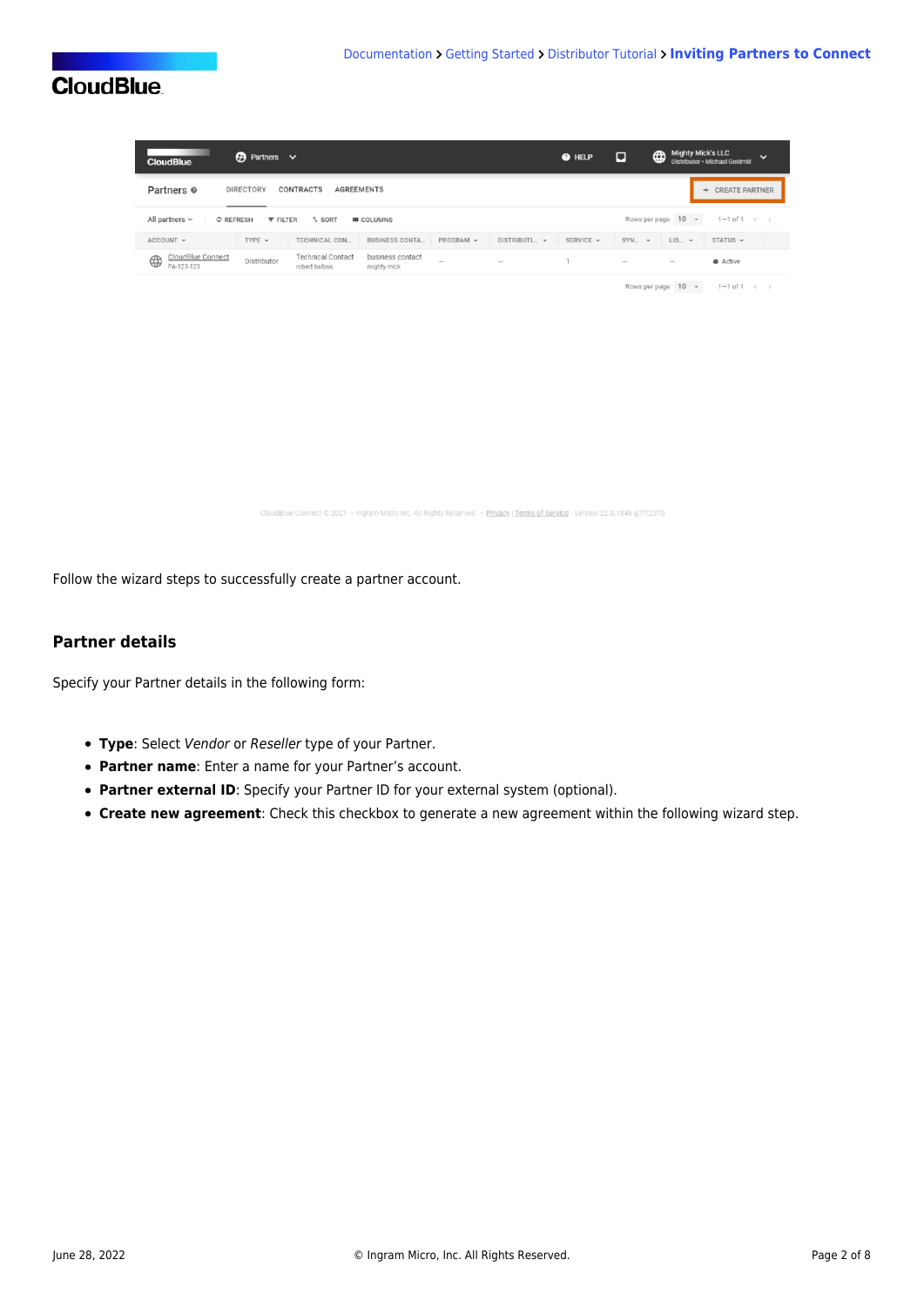| <b>CloudBlue</b>                     | $\bigoplus$ Partners $\vee$                                                                                                                                      | @ HELP                    | ⊡                                                                         | Mighty Mick's LLC<br>$\checkmark$<br>Distributor . Michael Goldmill |
|--------------------------------------|------------------------------------------------------------------------------------------------------------------------------------------------------------------|---------------------------|---------------------------------------------------------------------------|---------------------------------------------------------------------|
| Partners <sup>o</sup>                | <b>DIRECTORY</b><br>CONTRACTS<br><b>AGREEMENTS</b>                                                                                                               |                           |                                                                           | + CREATE PARTNER                                                    |
| All partners $\sim$<br>C REFRESH     | Rows per page 10 -<br>$1-1$ of $1 \leq$                                                                                                                          |                           |                                                                           |                                                                     |
| ACCOUNT -                            | TYPE $\mathbf$<br>TECHNICAL CON<br><b>BUSINESS CONTA</b><br>PROGRAM -                                                                                            | DISTRIBUTI ~<br>SERVICE - | $SYN$ $\rightarrow$                                                       | STATUS<br>$LIS_{\dots}$ $\rightarrow$                               |
| CloudBlue Connect<br>⊕<br>PA-123-123 | <b>Technical Contact</b><br>business contact<br>Distributor<br>$\hspace{1.0cm} \rule{1.5cm}{0.15cm}$<br>$\overline{\phantom{a}}$<br>robert balboa<br>mighty mick |                           | $\hspace{1.0cm} \rule{1.5cm}{0.15cm} \hspace{1.0cm} \rule{1.5cm}{0.15cm}$ | Active                                                              |

Rows per page  $10 \rightarrow 1-1$  of  $1 \leftrightarrow$ 

.<br>Blue Connect © 2021 — Ingram Micro Inc. All Rights Reserved. — Privacy I Terms of Service - Version 22.0.1848-g7f7237b

Follow the wizard steps to successfully create a partner account.

### **Partner details**

Specify your Partner details in the following form:

- **Type**: Select Vendor or Reseller type of your Partner.
- **Partner name**: Enter a name for your Partner's account.
- **Partner external ID**: Specify your Partner ID for your external system (optional).
- **Create new agreement**: Check this checkbox to generate a new agreement within the following wizard step.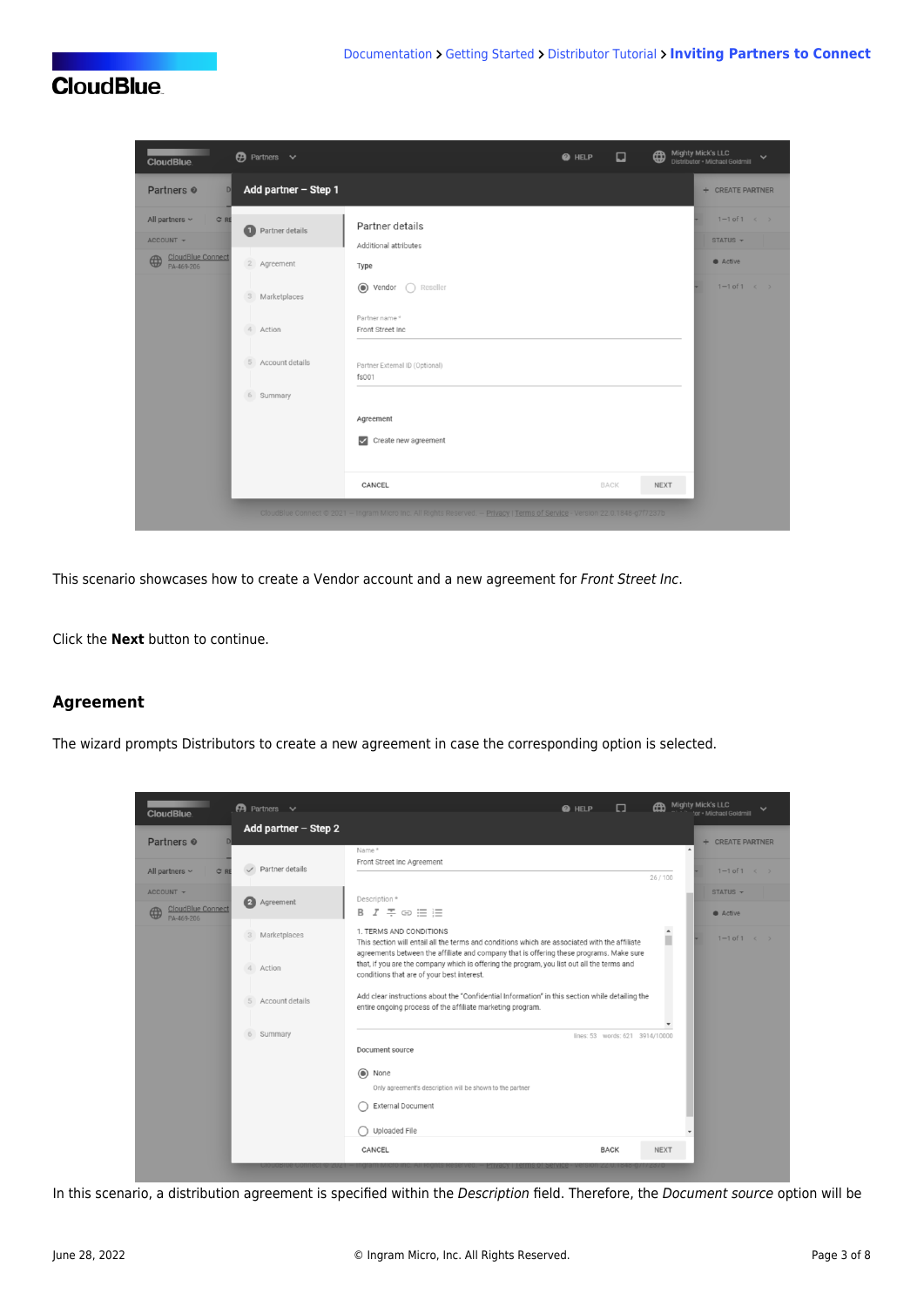

| <b>CloudBlue</b>                                                                                  | $\bigoplus$ Partners $\vee$                                            |                                                                                                                                                                                                   | <b>O</b> HELP | $\Box$      | ⊕           | <b>Mighty Mick's LLC</b><br>Distributor . Michael Goldmill |  |
|---------------------------------------------------------------------------------------------------|------------------------------------------------------------------------|---------------------------------------------------------------------------------------------------------------------------------------------------------------------------------------------------|---------------|-------------|-------------|------------------------------------------------------------|--|
| Partners <sup>o</sup><br>$\mathbb{D}$                                                             | Add partner - Step 1                                                   |                                                                                                                                                                                                   |               |             |             | + CREATE PARTNER                                           |  |
| All partners $\sim$<br>C RE<br>ACCOUNT -<br><b>CloudBlue Connect</b><br>$\bigoplus$<br>PA-469-206 | Partner details<br>Ω<br>2 Agreement                                    | Partner details<br>Additional attributes<br>Type                                                                                                                                                  |               |             |             | $1 - 1$ of $1 \leq$<br>STATUS -<br>Active                  |  |
|                                                                                                   | Marketplaces<br>$3 -$<br>4<br>Action<br>5 Account details<br>6 Summary | $\odot$<br>$\bigcap$ Reseller<br>Vendor<br>Partner name*<br>Front Street Inc<br>Partner External ID (Optional)<br>fs001                                                                           |               |             |             | $1 - 1$ of $1 \leq$                                        |  |
|                                                                                                   |                                                                        | Agreement<br>Create new agreement<br>$\overline{\smile}$<br>CANCEL<br>CloudBlue Connect @ 2021 - Ingram Micro Inc. All Rights Reserved. - Privacy   Terms of Service - Version 22.0.1848-g7f7237b |               | <b>BACK</b> | <b>NEXT</b> |                                                            |  |

This scenario showcases how to create a Vendor account and a new agreement for Front Street Inc.

Click the **Next** button to continue.

#### **Agreement**

The wizard prompts Distributors to create a new agreement in case the corresponding option is selected.

| <b>CloudBlue</b>                                         | $\bigcirc$ Partners $\vee$                                          | <b>Mighty Mick's LLC</b><br>ക<br>□<br><b>@</b> HELP<br>ichael Goldmill                                                                                                                                                                                                                                                                                                                                                                                                                                                                                                                             |
|----------------------------------------------------------|---------------------------------------------------------------------|----------------------------------------------------------------------------------------------------------------------------------------------------------------------------------------------------------------------------------------------------------------------------------------------------------------------------------------------------------------------------------------------------------------------------------------------------------------------------------------------------------------------------------------------------------------------------------------------------|
| Partners <sup>o</sup>                                    | Add partner - Step 2                                                | + CREATE PARTNER<br>Name*<br>$\overline{\phantom{a}}$                                                                                                                                                                                                                                                                                                                                                                                                                                                                                                                                              |
| All partners $\sim$<br>C RE                              | Partner details                                                     | Front Street Inc Agreement<br>$1 - 1$ of $1 \leq$<br>26/100                                                                                                                                                                                                                                                                                                                                                                                                                                                                                                                                        |
| ACCOUNT -<br><b>CloudBlue Connect</b><br>⊕<br>PA-469-206 | $\bullet$<br>Agreement                                              | STATUS -<br>Description *<br>$B$ $I = \oplus \equiv \equiv$<br>Active                                                                                                                                                                                                                                                                                                                                                                                                                                                                                                                              |
|                                                          | Marketplaces<br>$\mathbf{3}$<br>Action<br>4<br>Account details<br>5 | $\blacktriangle$<br>1. TERMS AND CONDITIONS<br>ш<br>$1 - 1$ of $1 \leftarrow \rightarrow$<br>This section will entail all the terms and conditions which are associated with the affiliate<br>agreements between the affiliate and company that is offering these programs. Make sure<br>that, if you are the company which is offering the program, you list out all the terms and<br>conditions that are of your best interest.<br>Add clear instructions about the "Confidential Information" in this section while detailing the<br>entire ongoing process of the affiliate marketing program. |
|                                                          | 6 Summary                                                           | lines: 53 words: 621 3914/10000<br>Document source<br>$\odot$<br>None<br>Only agreement's description will be shown to the partner<br>External Document<br>Uploaded File<br>CANCEL<br><b>BACK</b><br><b>NEXT</b>                                                                                                                                                                                                                                                                                                                                                                                   |

In this scenario, a distribution agreement is specified within the Description field. Therefore, the Document source option will be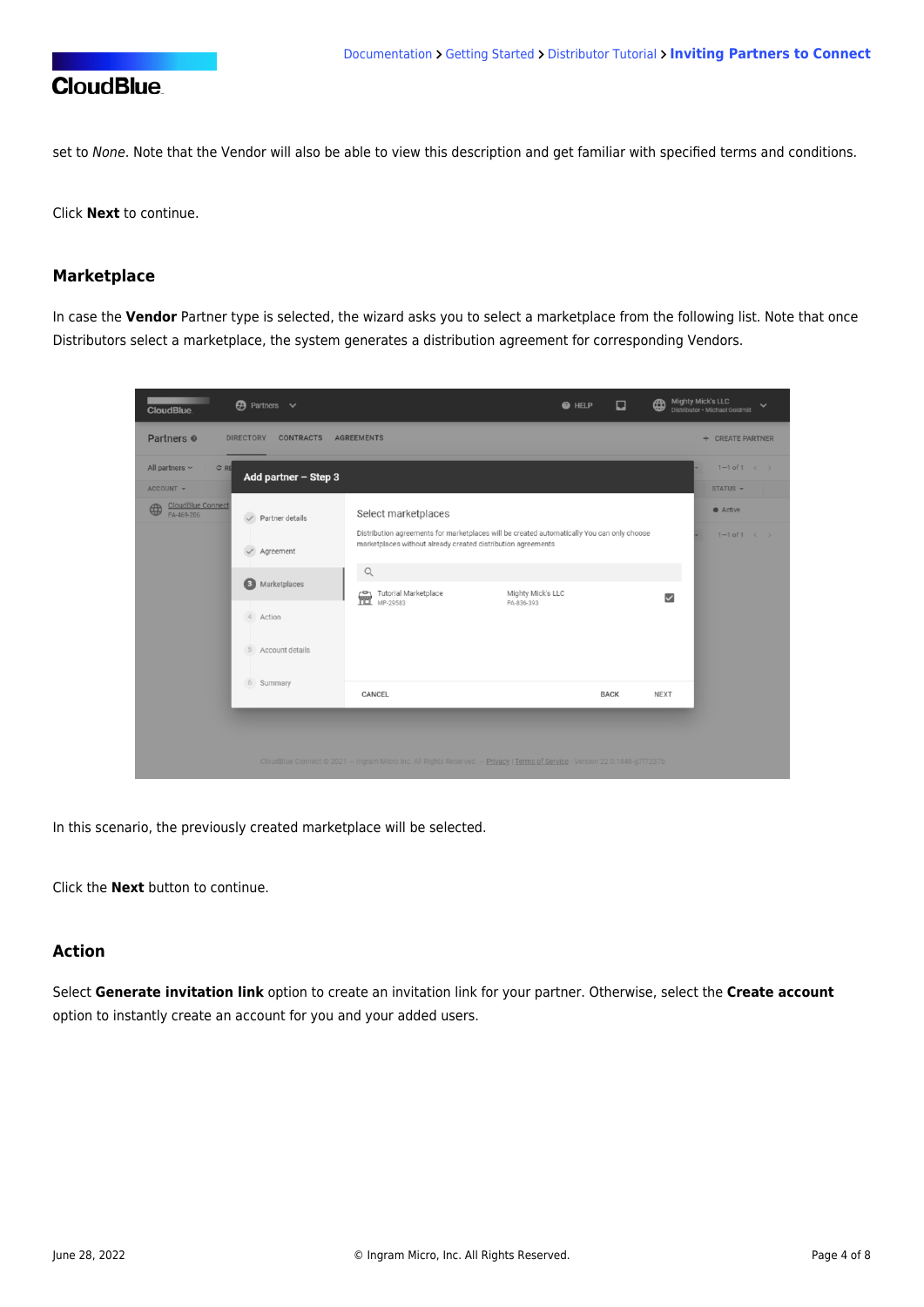

set to None. Note that the Vendor will also be able to view this description and get familiar with specified terms and conditions.

Click **Next** to continue.

### **Marketplace**

In case the **Vendor** Partner type is selected, the wizard asks you to select a marketplace from the following list. Note that once Distributors select a marketplace, the system generates a distribution agreement for corresponding Vendors.

| $\bigoplus$ Partners $\vee$<br><b>CloudBlue</b>                                                                                                                          |                                                                                                                                                                                                                                                          | ⊡<br><b>O</b> HELP | <b>Mighty Mick's LLC</b><br>⊕<br>$\checkmark$<br>Distributor · Michael Goldmill |
|--------------------------------------------------------------------------------------------------------------------------------------------------------------------------|----------------------------------------------------------------------------------------------------------------------------------------------------------------------------------------------------------------------------------------------------------|--------------------|---------------------------------------------------------------------------------|
| Partners <sup>®</sup><br><b>DIRECTORY</b><br><b>CONTRACTS</b>                                                                                                            | <b>AGREEMENTS</b>                                                                                                                                                                                                                                        |                    | + CREATE PARTNER                                                                |
| All partners $\sim$<br>C RE<br>Add partner $-$ Step 3<br>ACCOUNT -                                                                                                       |                                                                                                                                                                                                                                                          |                    | $1 - 1$ of $1 \leq$<br>STATUS -                                                 |
| CloudBlue Connect<br>⊕<br>PA-469-206<br>Partner details<br>$\checkmark$<br>Agreement<br>$\checkmark$<br>$\bullet$<br>Marketplaces<br>4<br>Action<br>Account details<br>5 | Select marketplaces<br>Distribution agreements for marketplaces will be created automatically You can only choose<br>marketplaces without already created distribution agreements<br>$\mathsf{Q}$<br>Tutorial Marketplace<br>壸<br>MP-29583<br>PA-836-393 | Mighty Mick's LLC  | Active<br>$1 - 1$ of $1 \leq$<br>$\checkmark$                                   |
| 6<br>Summary                                                                                                                                                             | CANCEL                                                                                                                                                                                                                                                   | <b>BACK</b>        | <b>NEXT</b>                                                                     |
|                                                                                                                                                                          | CloudBlue Connect @ 2021 - Ingram Micro Inc. All Rights Reserved. - Privacy   Terms of Service - Version 22.0.1848-g7f7237b                                                                                                                              |                    |                                                                                 |

In this scenario, the previously created marketplace will be selected.

Click the **Next** button to continue.

### **Action**

Select **Generate invitation link** option to create an invitation link for your partner. Otherwise, select the **Create account** option to instantly create an account for you and your added users.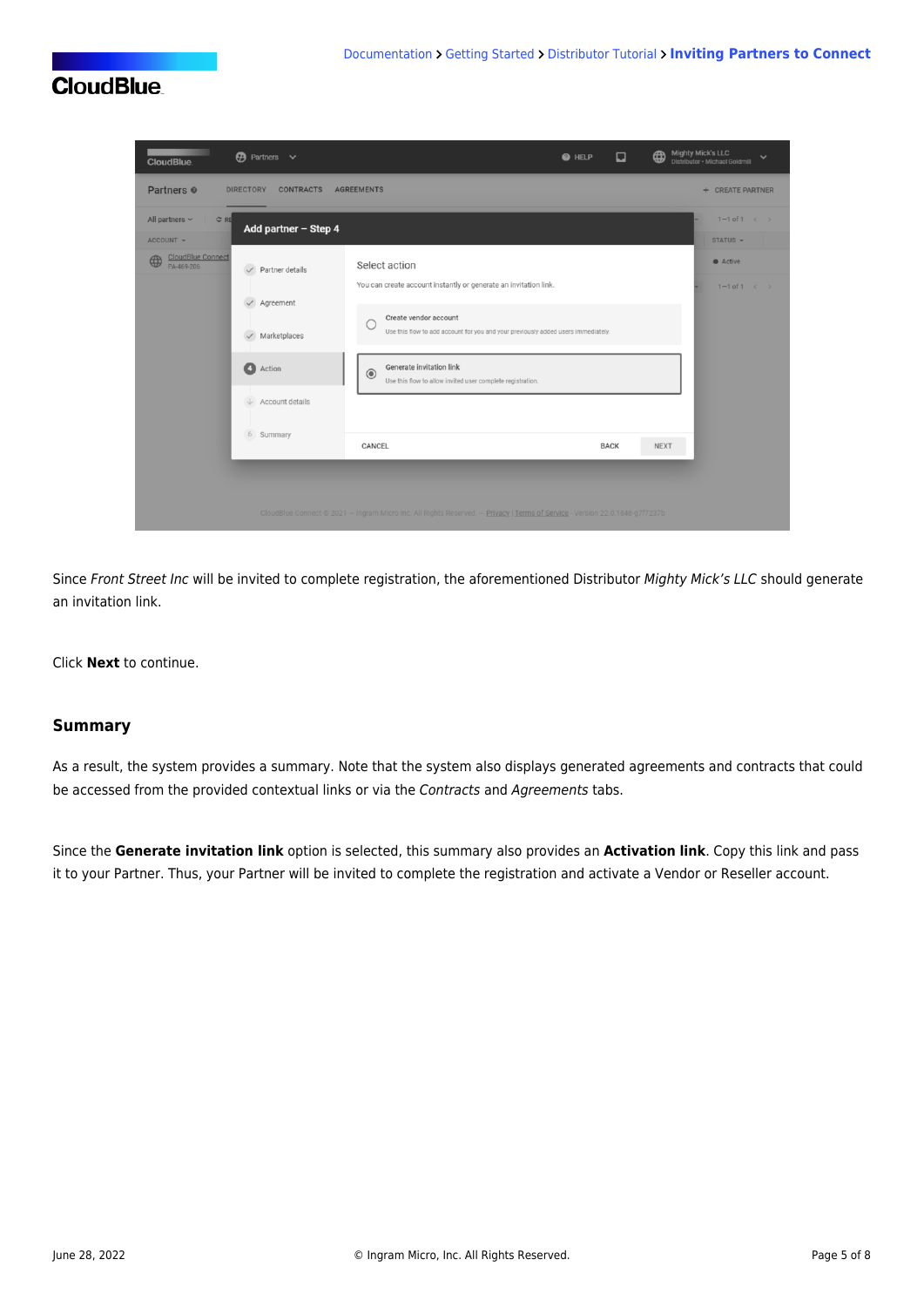

Since Front Street Inc will be invited to complete registration, the aforementioned Distributor Mighty Mick's LLC should generate an invitation link.

Click **Next** to continue.

### **Summary**

As a result, the system provides a summary. Note that the system also displays generated agreements and contracts that could be accessed from the provided contextual links or via the Contracts and Agreements tabs.

Since the **Generate invitation link** option is selected, this summary also provides an **Activation link**. Copy this link and pass it to your Partner. Thus, your Partner will be invited to complete the registration and activate a Vendor or Reseller account.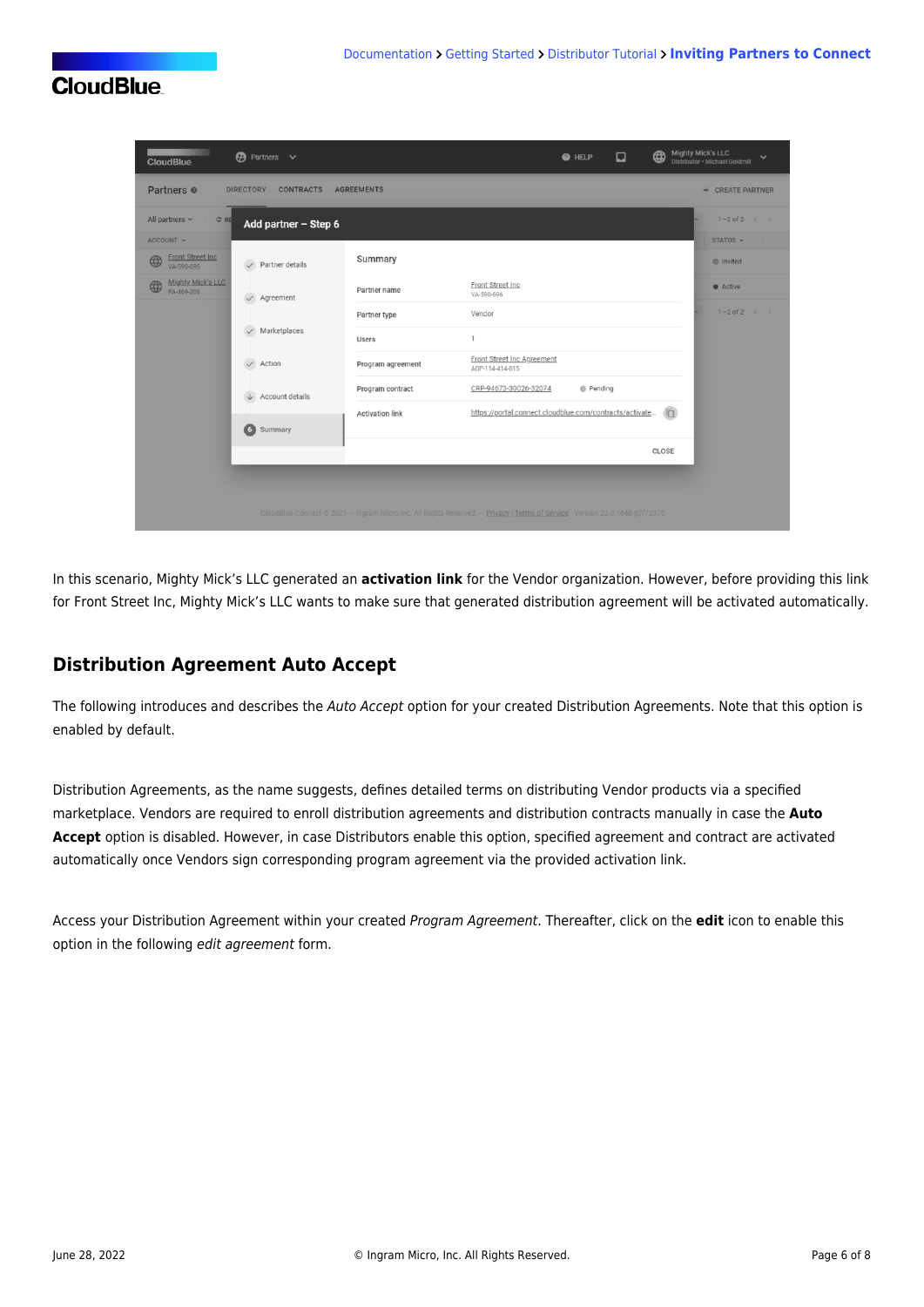| <b>CloudBlue</b>                                                   | $\bigoplus$ Partners $\vee$          |                                                                                                                             |                                                         | <b>@</b> HELP    | ⊡ | ⊕      | <b>Mighty Mick's LLC</b><br>Distributor · Michael Goldmill | $\checkmark$ |
|--------------------------------------------------------------------|--------------------------------------|-----------------------------------------------------------------------------------------------------------------------------|---------------------------------------------------------|------------------|---|--------|------------------------------------------------------------|--------------|
| Partners <sup>®</sup>                                              | <b>DIRECTORY</b><br><b>CONTRACTS</b> | <b>AGREEMENTS</b>                                                                                                           |                                                         |                  |   |        | + CREATE PARTNER                                           |              |
| C RE<br>All partners $\sim$                                        | Add partner $-$ Step 6               |                                                                                                                             |                                                         |                  |   |        | $1-2$ of $2 \leq$                                          |              |
| ACCOUNT -<br><b>Front Street Inc.</b><br>$\bigoplus$<br>VA-590-696 | $\checkmark$ Partner details         | Summary                                                                                                                     |                                                         |                  |   |        | STATUS -<br><b>O</b> Invited                               |              |
| <b>Mighty Mick's LLC</b><br>4<br>PA-469-206                        | Agreement<br>$\checkmark$            | Partner name                                                                                                                | Front Street Inc<br>VA-590-696                          |                  |   |        | • Active                                                   |              |
|                                                                    |                                      | Partner type                                                                                                                | Vendor                                                  |                  |   |        | $1-2$ of 2 $\leftarrow$ >                                  |              |
|                                                                    | Marketplaces                         | <b>Users</b>                                                                                                                | $\mathbf{1}$                                            |                  |   |        |                                                            |              |
|                                                                    | Action<br>$\checkmark$               | Program agreement                                                                                                           | Front Street Inc Agreement<br>AGP-114-414-015           |                  |   |        |                                                            |              |
|                                                                    | Account details                      | Program contract                                                                                                            | CRP-94673-30026-32074                                   | <b>B</b> Pending |   |        |                                                            |              |
|                                                                    | $\bullet$<br>Summary                 | <b>Activation link</b>                                                                                                      | https://portal.connect.cloudblue.com/contracts/activate |                  |   | $\Box$ |                                                            |              |
|                                                                    |                                      |                                                                                                                             |                                                         |                  |   | CLOSE  |                                                            |              |
|                                                                    |                                      | CloudBlue Connect @ 2021 - Ingram Micro Inc. All Rights Reserved. - Privacy   Terms of Service - Version 22.0.1848-g7f7237b |                                                         |                  |   |        |                                                            |              |

In this scenario, Mighty Mick's LLC generated an **activation link** for the Vendor organization. However, before providing this link for Front Street Inc, Mighty Mick's LLC wants to make sure that generated distribution agreement will be activated automatically.

### **Distribution Agreement Auto Accept**

The following introduces and describes the Auto Accept option for your created Distribution Agreements. Note that this option is enabled by default.

Distribution Agreements, as the name suggests, defines detailed terms on distributing Vendor products via a specified marketplace. Vendors are required to enroll distribution agreements and distribution contracts manually in case the **Auto Accept** option is disabled. However, in case Distributors enable this option, specified agreement and contract are activated automatically once Vendors sign corresponding program agreement via the provided activation link.

Access your Distribution Agreement within your created Program Agreement. Thereafter, click on the **edit** icon to enable this option in the following edit agreement form.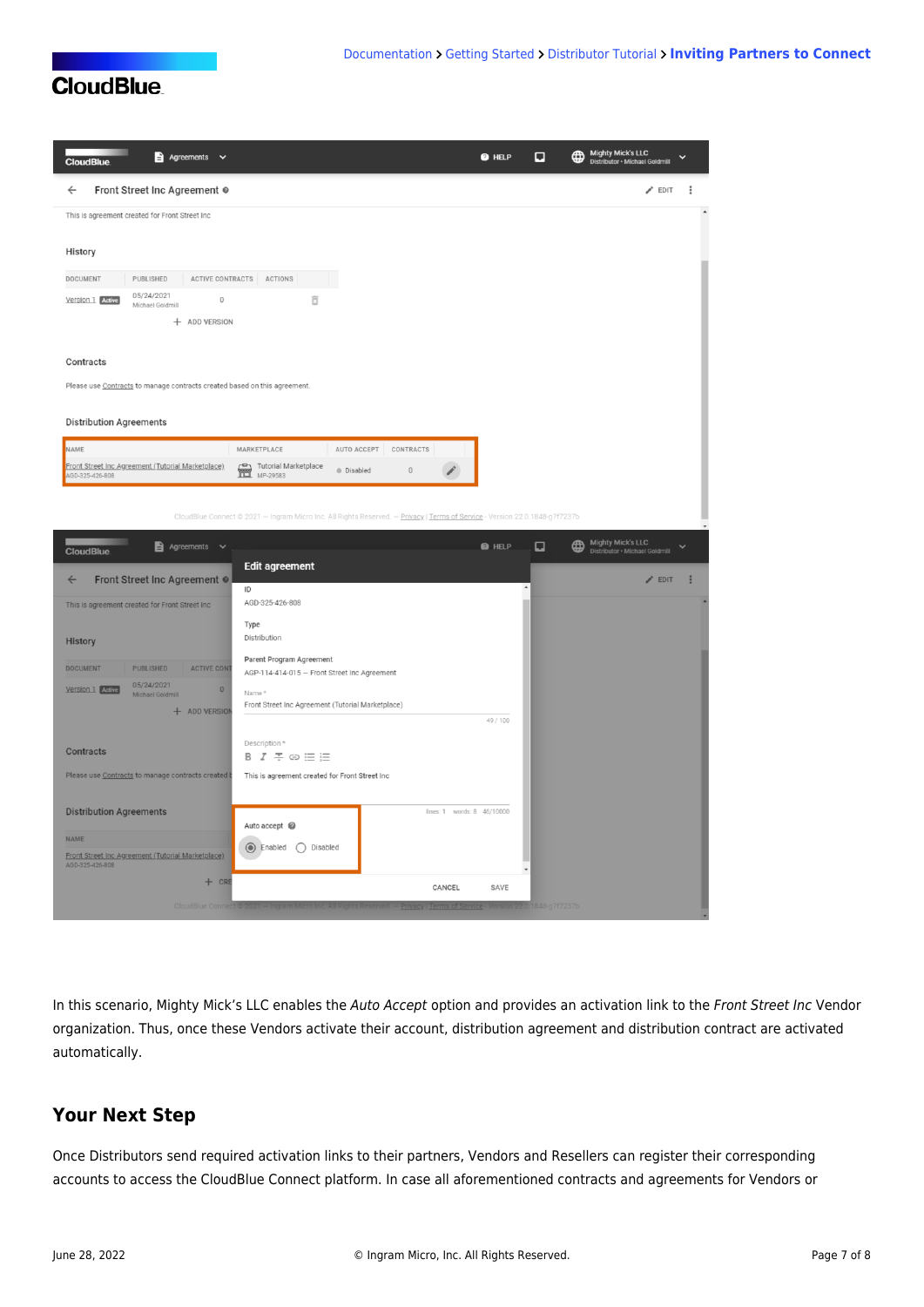| $\triangle$ Agreements $\vee$<br><b>CloudBlue</b>                                                                                          | <b>@</b> HELP | u                          | Mighty Mick's LLC<br>Distributor · Michael Goldmill        |              |
|--------------------------------------------------------------------------------------------------------------------------------------------|---------------|----------------------------|------------------------------------------------------------|--------------|
| Front Street Inc Agreement @<br>$\leftarrow$                                                                                               |               |                            | $\blacktriangleright$ EDIT                                 | ÷            |
| This is agreement created for Front Street Inc                                                                                             |               |                            |                                                            |              |
| History                                                                                                                                    |               |                            |                                                            |              |
| DOCUMENT<br>PUBLISHED<br>ACTIVE CONTRACTS ACTIONS                                                                                          |               |                            |                                                            |              |
| 05/24/2021<br>Version 1 Active<br>$\begin{array}{c} 0 \\ 0 \end{array}$<br>õ<br>Michael Goldmill                                           |               |                            |                                                            |              |
| + ADD VERSION                                                                                                                              |               |                            |                                                            |              |
| Contracts                                                                                                                                  |               |                            |                                                            |              |
| Please use Contracts to manage contracts created based on this agreement.                                                                  |               |                            |                                                            |              |
| <b>Distribution Agreements</b>                                                                                                             |               |                            |                                                            |              |
| NAME<br>MARKETPLACE<br>AUTO ACCEPT<br>CONTRACTS                                                                                            |               |                            |                                                            |              |
| Tutorial Marketplace<br>Front Street Inc Agreement (Tutorial Marketplace)<br>$\mathbb O$<br><b>Disabled</b><br>MP-29583<br>AGD-325-426-808 |               |                            |                                                            |              |
|                                                                                                                                            |               |                            |                                                            |              |
| CloudBlue Connect @ 2021 - Ingram Micro Inc. All Rights Reserved. - Privacy   Terms of Service - Version 22.0.1848-g7f7237b                |               |                            |                                                            |              |
| <b>Agreements</b><br>$\checkmark$<br><b>CloudBlue</b>                                                                                      | <b>@</b> HELP | □<br>₩                     | <b>Mighty Mick's LLC</b><br>Distributor · Michael Goldmill | $\checkmark$ |
| <b>Edit agreement</b><br>Front Street Inc Agreement @<br>$\leftarrow$                                                                      |               |                            | $\angle$ EDIT                                              | E            |
| ID<br>AGD-325-426-808<br>This is agreement created for Front Street Inc                                                                    |               |                            |                                                            |              |
| Type<br>Distribution                                                                                                                       |               |                            |                                                            |              |
| <b>History</b><br>Parent Program Agreement                                                                                                 |               |                            |                                                            |              |
| <b>DOCUMENT</b><br><b>PUBLISHED</b><br><b>ACTIVE CONT</b><br>AGP-114-414-015 - Front Street Inc Agreement<br>05/24/2021                    |               |                            |                                                            |              |
| $\circ$<br>Version 1 Active<br>Name*<br>Michael Goldmill<br>Front Street Inc Agreement (Tutorial Marketplace)<br>+ ADD VERSION             |               |                            |                                                            |              |
|                                                                                                                                            | 49 / 100      |                            |                                                            |              |
| Description*<br>Contracts<br>$B$ $I$ $\mp$ $\oplus$ $\equiv$ $\equiv$                                                                      |               |                            |                                                            |              |
| Please use Contracts to manage contracts created b<br>This is agreement created for Front Street Inc                                       |               |                            |                                                            |              |
| <b>Distribution Agreements</b><br>lines: 1 words: 8 46/10000                                                                               |               |                            |                                                            |              |
| Auto accept @                                                                                                                              |               |                            |                                                            |              |
| <b>NAME</b><br>◯ Disabled<br>C Enabled<br>Front Street Inc Agreement (Tutorial Marketplace)                                                |               |                            |                                                            |              |
| AGD-325-426-808<br>$+$ CRE<br>CANCEL                                                                                                       | SAVE          |                            |                                                            |              |
|                                                                                                                                            |               | /ersion 22.0.1848-g7f7237b |                                                            |              |

In this scenario, Mighty Mick's LLC enables the Auto Accept option and provides an activation link to the Front Street Inc Vendor organization. Thus, once these Vendors activate their account, distribution agreement and distribution contract are activated automatically.

### **Your Next Step**

Once Distributors send required activation links to their partners, Vendors and Resellers can register their corresponding accounts to access the CloudBlue Connect platform. In case all aforementioned contracts and agreements for Vendors or